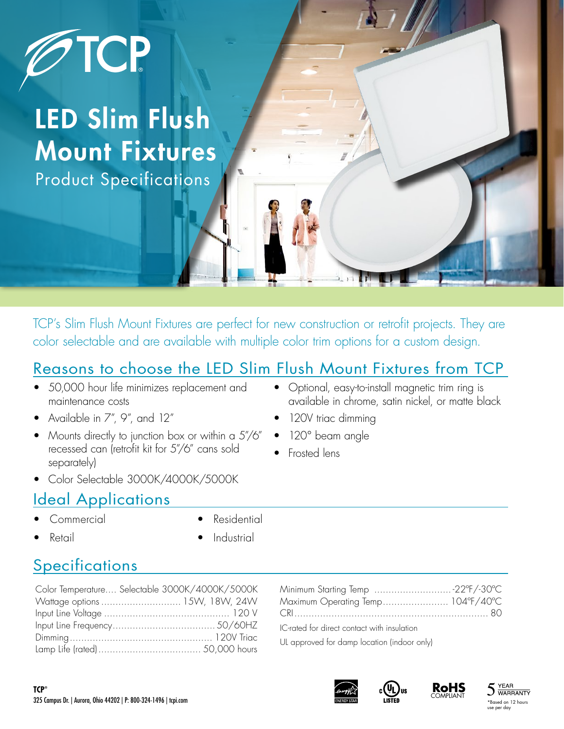

# LED Slim Flush Mount Fixtures Product Specifications

TCP's Slim Flush Mount Fixtures are perfect for new construction or retrofit projects. They are color selectable and are available with multiple color trim options for a custom design.

## Reasons to choose the LED Slim Flush Mount Fixtures from TCP

- 50,000 hour life minimizes replacement and maintenance costs
- Available in 7", 9", and 12"
- Mounts directly to junction box or within a 5"/6" recessed can (retrofit kit for 5"/6" cans sold separately)
- Color Selectable 3000K/4000K/5000K

### Ideal Applications

• Commercial

**Residential** 

• Retail

**Industrial** 

## **Specifications**

| Color Temperature Selectable 3000K/4000K/5000K |  |
|------------------------------------------------|--|
| Wattage options  15W, 18W, 24W                 |  |
|                                                |  |
|                                                |  |
|                                                |  |
|                                                |  |

| Minimum Starting Temp 22°F/-30°C            |  |
|---------------------------------------------|--|
| Maximum Operating Temp 104°F/40°C           |  |
|                                             |  |
| IC-rated for direct contact with insulation |  |

UL approved for damp location (indoor only)





**RoHS**



- Optional, easy-to-install magnetic trim ring is available in chrome, satin nickel, or matte black
- 120V triac dimming
- 120° beam angle
- Frosted lens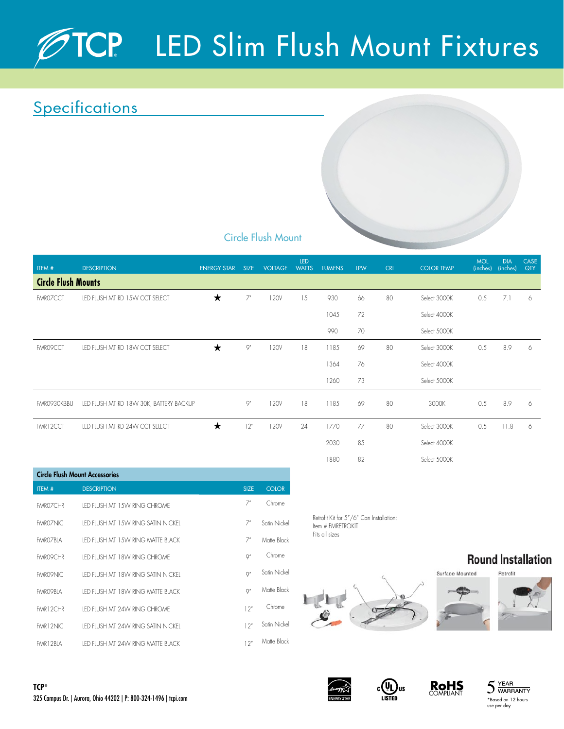# LED Slim Flush Mount Fixtures

## **Specifications**



### Circle Flush Mount

| ITEM #      | <b>DESCRIPTION</b>                      | <b>ENERGY STAR</b> | <b>SIZE</b> | <b>VOLTAGE</b> | LED<br><b>WATTS</b> | <b>LUMENS</b> | <b>LPW</b> | <b>CRI</b> | <b>COLOR TEMP</b> | <b>MOL</b><br>(inches) | <b>DIA</b><br>(inches) | CASE<br>QTY |
|-------------|-----------------------------------------|--------------------|-------------|----------------|---------------------|---------------|------------|------------|-------------------|------------------------|------------------------|-------------|
|             | <b>Circle Flush Mounts</b>              |                    |             |                |                     |               |            |            |                   |                        |                        |             |
| FMR07CCT    | LED FLUSH MT RD 15W CCT SELECT          | ★                  | $7^{\circ}$ | 120V           | 15                  | 930           | 66         | 80         | Select 3000K      | 0.5                    | 7.1                    | 6           |
|             |                                         |                    |             |                |                     | 1045          | 72         |            | Select 4000K      |                        |                        |             |
|             |                                         |                    |             |                |                     | 990           | 70         |            | Select 5000K      |                        |                        |             |
| FMR09CCT    | LED FLUSH MT RD 18W CCT SELECT          | ★                  | $Q^{\pi}$   | 120V           | 18                  | 1185          | 69         | 80         | Select 3000K      | 0.5                    | 8.9                    | 6           |
|             |                                         |                    |             |                |                     | 1364          | 76         |            | Select 4000K      |                        |                        |             |
|             |                                         |                    |             |                |                     | 1260          | 73         |            | Select 5000K      |                        |                        |             |
| FMR0930KBBU | LED FLUSH MT RD 18W 30K, BATTERY BACKUP |                    | $\varphi$ " | 120V           | 18                  | 1185          | 69         | 80         | 3000K             | 0.5                    | 8.9                    | 6           |
| FMR12CCT    | LED FLUSH MT RD 24W CCT SELECT          | ★                  | 12"         | 120V           | 24                  | 1770          | 77         | 80         | Select 3000K      | 0.5                    | 11.8                   | 6           |
|             |                                         |                    |             |                |                     | 2030          | 85         |            | Select 4000K      |                        |                        |             |

| <b>Circle Flush Mount Accessories</b> |                                      |                  |              |  |  |  |  |
|---------------------------------------|--------------------------------------|------------------|--------------|--|--|--|--|
| ITEM#                                 | <b>DESCRIPTION</b>                   | <b>SIZE</b>      | <b>COLOR</b> |  |  |  |  |
| <b>FMROZCHR</b>                       | IFD FIUSH MT 1.5W RING CHROME        | 7 <sup>n</sup>   | Chrome       |  |  |  |  |
| <b>FMROZNIC</b>                       | IED FILISH MT 1.5W RING SATIN NICKEL | 7 <sup>n</sup>   | Satin Nickel |  |  |  |  |
| <b>FMROZBIA</b>                       | IED FIUSH MT 1.5W RING MATTE BIACK   | 7 <sup>n</sup>   | Matte Black  |  |  |  |  |
| <b>FMRO9CHR</b>                       | IFD FIUSH MT 18W RING CHROME         | Q''              | Chrome       |  |  |  |  |
| <b>FMRO9NIC</b>                       | IFD FIUSH MT 18W RING SATIN NICKEL   | Q''              | Satin Nickel |  |  |  |  |
| <b>FMRO9BLA</b>                       | IFD FIUSH MT 18W RING MATTE BIACK    | Q''              | Matte Black  |  |  |  |  |
| FMR12CHR                              | IFD FIUSH MT 24W RING CHROME         | 12 <sup>n</sup>  | Chrome       |  |  |  |  |
| <b>FMR12NIC</b>                       | IFD FIUSH MT 24W RING SATIN NICKEL   | 12 <sup>''</sup> | Satin Nickel |  |  |  |  |
| FMR12BIA                              | IFD FIUSH MT 24W RING MATTE BIACK    | 12 <sup>''</sup> | Matte Black  |  |  |  |  |

Retrofit Kit for 5"/6" Can Installation: Item # FMRETROKIT Fits all sizes

1880 82 Select 5000K

# LELE









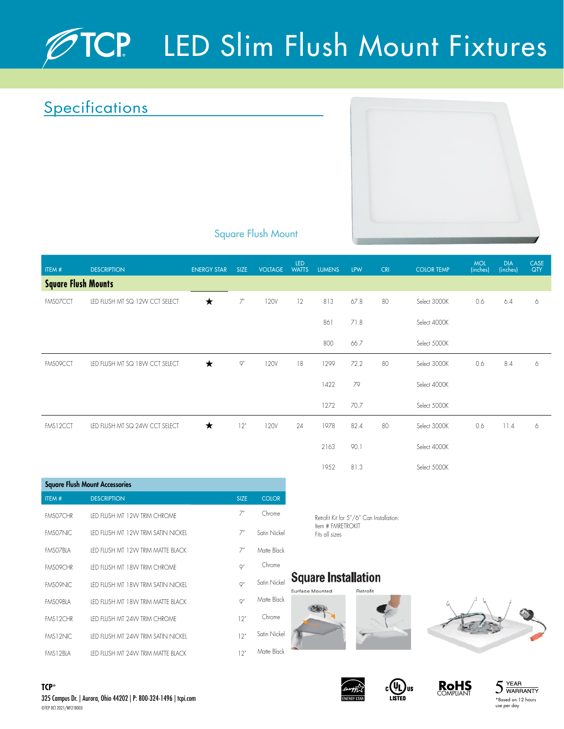# TCP LED Slim Flush Mount Fixtures

## **Specifications**



### Square Flush Mount

| ITEM #                     | <b>DESCRIPTION</b>             | <b>ENERGY STAR</b> | <b>SIZE</b>    | <b>VOLTAGE</b> | LED<br>WATTS | <b>LUMENS</b> | <b>LPW</b> | <b>CRI</b> | <b>COLOR TEMP</b> | <b>MOL</b><br>(inches) | <b>DIA</b><br>(inches) | <b>CASE</b><br>QTY |  |
|----------------------------|--------------------------------|--------------------|----------------|----------------|--------------|---------------|------------|------------|-------------------|------------------------|------------------------|--------------------|--|
| <b>Square Flush Mounts</b> |                                |                    |                |                |              |               |            |            |                   |                        |                        |                    |  |
| FMS07CCT                   | LED FLUSH MT SQ 12W CCT SELECT | ★                  | $7^{\circ}$    | 120V           | 12           | 813           | 67.8       | 80         | Select 3000K      | 0.6                    | 6.4                    | 6                  |  |
|                            |                                |                    |                |                |              | 861           | 71.8       |            | Select 4000K      |                        |                        |                    |  |
|                            |                                |                    |                |                |              | 800           | 66.7       |            | Select 5000K      |                        |                        |                    |  |
| FMS09CCT                   | LED FLUSH MT SQ 18W CCT SELECT | ★                  | Q <sup>n</sup> | 120V           | 18           | 1299          | 72.2       | 80         | Select 3000K      | 0.6                    | 8.4                    | 6                  |  |
|                            |                                |                    |                |                |              | 1422          | 79         |            | Select 4000K      |                        |                        |                    |  |
|                            |                                |                    |                |                |              | 1272          | 70.7       |            | Select 5000K      |                        |                        |                    |  |
| FMS12CCT                   | LED FLUSH MT SQ 24W CCT SELECT | $\star$            | 12"            | 120V           | 24           | 1978          | 82.4       | 80         | Select 3000K      | 0.6                    | 11.4                   | 6                  |  |
|                            |                                |                    |                |                |              | 2163          | 90.        |            | Select 4000K      |                        |                        |                    |  |

| <b>Square Flush Mount Accessories</b> |                                     |                 |              |  |  |  |  |  |
|---------------------------------------|-------------------------------------|-----------------|--------------|--|--|--|--|--|
| ITEM#                                 | <b>DESCRIPTION</b>                  | <b>SIZE</b>     | <b>COLOR</b> |  |  |  |  |  |
| <b>FMSOZCHR</b>                       | IFD FIUSH MT 12W TRIM CHROME        | 7"              | Chrome       |  |  |  |  |  |
| FMS07NIC                              | IED FILISH MT 12W TRIM SATIN NICKEL | 7"              | Satin Nickel |  |  |  |  |  |
| <b>FMSOZBIA</b>                       | IFD FIUSH MT 12W TRIM MATTE BIACK   | 7"              | Matte Black  |  |  |  |  |  |
| <b>FMS09CHR</b>                       | IED FILISH MT 18W TRIM CHROME       | Q''             | Chrome       |  |  |  |  |  |
| <b>FMS09NIC</b>                       | IFD FIUSH MT 18W TRIM SATIN NICKEL  | Q''             | Satin Nickel |  |  |  |  |  |
| <b>FMSO9BIA</b>                       | IFD FIUSH MT 18W TRIM MATTE BIACK   | Q''             | Matte Black  |  |  |  |  |  |
| <b>FMS12CHR</b>                       | IFD FIUSH MT 24W TRIM CHROME        | 12"             | Chrome       |  |  |  |  |  |
| <b>FMS12NIC</b>                       | IED FIUSH MT 24W TRIM SATIN NICKEL  | 12''            | Satin Nickel |  |  |  |  |  |
| <b>FMS12BIA</b>                       | IFD FIUSH MT 24W TRIM MATTE BIACK   | 12 <sup>n</sup> | Matte Black  |  |  |  |  |  |

Retrofit Kit for 5"/6" Can Installation: Item # FMRETROKIT Fits all sizes

1952 81.3 Select 5000K

### **Square Installation**

Surface Mounted Retrofit













325 Campus Dr. | Aurora, Ohio 44202 | P: 800-324-1496 | tcpi.com **TCP®** ©TCP OCT 2021/WF218003